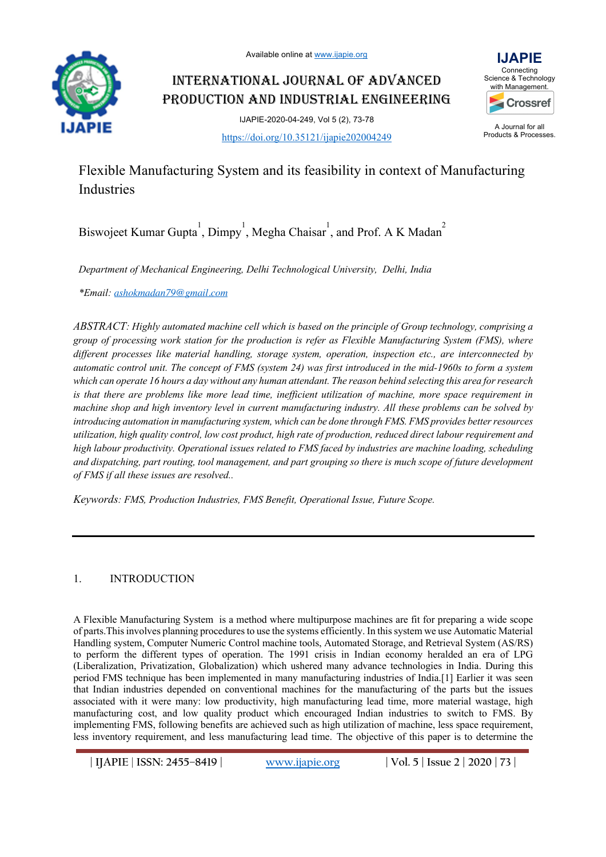

# INTERNATIONAL JOURNAL OF ADVANCED PRODUCTION AND INDUSTRIAL ENGINEERING

IJAPIE-2020-04-249, Vol 5 (2), 73-78 https://doi.org/10.35121/ijapie202004249



A Journal for all Products & Processes.

# Flexible Manufacturing System and its feasibility in context of Manufacturing Industries

Biswojeet Kumar Gupta<sup>1</sup>, Dimpy<sup>1</sup>, Megha Chaisar<sup>1</sup>, and Prof. A K Madan<sup>2</sup>

*Department of Mechanical Engineering, Delhi Technological University, Delhi, India*

*\*Email: ashokmadan79@gmail.com*

*ABSTRACT: Highly automated machine cell which is based on the principle of Group technology, comprising a group of processing work station for the production is refer as Flexible Manufacturing System (FMS), where different processes like material handling, storage system, operation, inspection etc., are interconnected by automatic control unit. The concept of FMS (system 24) was first introduced in the mid-1960s to form a system which can operate 16 hours a day without any human attendant. The reason behind selecting this area for research is that there are problems like more lead time, inefficient utilization of machine, more space requirement in machine shop and high inventory level in current manufacturing industry. All these problems can be solved by introducing automation in manufacturing system, which can be done through FMS. FMS provides better resources utilization, high quality control, low cost product, high rate of production, reduced direct labour requirement and high labour productivity. Operational issues related to FMS faced by industries are machine loading, scheduling and dispatching, part routing, tool management, and part grouping so there is much scope of future development of FMS if all these issues are resolved..*

*Keywords: FMS, Production Industries, FMS Benefit, Operational Issue, Future Scope.*

# 1. INTRODUCTION

A Flexible Manufacturing System is a method where multipurpose machines are fit for preparing a wide scope of parts.This involves planning procedures to use the systems efficiently. In this system we use Automatic Material Handling system, Computer Numeric Control machine tools, Automated Storage, and Retrieval System (AS/RS) to perform the different types of operation. The 1991 crisis in Indian economy heralded an era of LPG (Liberalization, Privatization, Globalization) which ushered many advance technologies in India. During this period FMS technique has been implemented in many manufacturing industries of India.[1] Earlier it was seen that Indian industries depended on conventional machines for the manufacturing of the parts but the issues associated with it were many: low productivity, high manufacturing lead time, more material wastage, high manufacturing cost, and low quality product which encouraged Indian industries to switch to FMS. By implementing FMS, following benefits are achieved such as high utilization of machine, less space requirement, less inventory requirement, and less manufacturing lead time. The objective of this paper is to determine the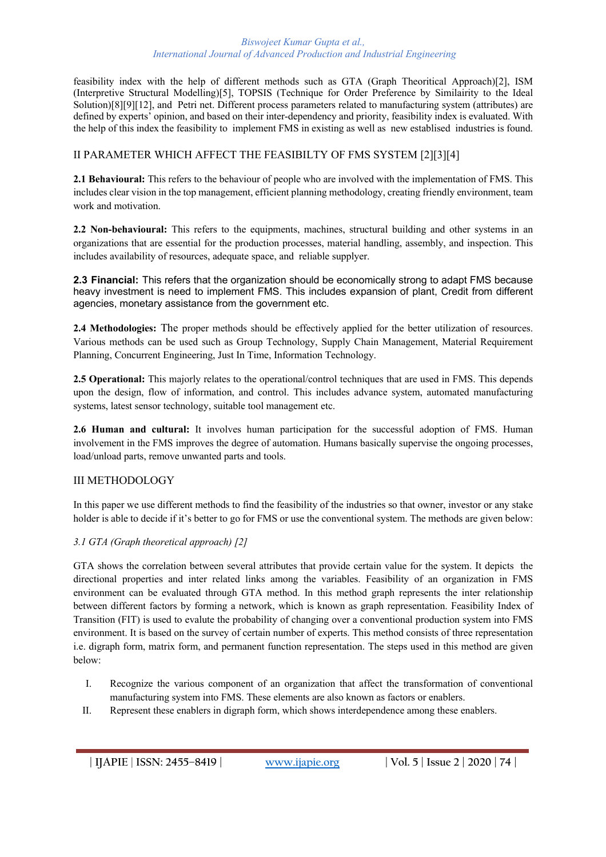#### *Biswojeet Kumar Gupta et al., International Journal of Advanced Production and Industrial Engineering*

feasibility index with the help of different methods such as GTA (Graph Theoritical Approach)[2], ISM (Interpretive Structural Modelling)[5], TOPSIS (Technique for Order Preference by Similairity to the Ideal Solution)[8][9][12], and Petri net. Different process parameters related to manufacturing system (attributes) are defined by experts' opinion, and based on their inter-dependency and priority, feasibility index is evaluated. With the help of this index the feasibility to implement FMS in existing as well as new establised industries is found.

# II PARAMETER WHICH AFFECT THE FEASIBILTY OF FMS SYSTEM [2][3][4]

**2.1 Behavioural:** This refers to the behaviour of people who are involved with the implementation of FMS. This includes clear vision in the top management, efficient planning methodology, creating friendly environment, team work and motivation.

**2.2 Non-behavioural:** This refers to the equipments, machines, structural building and other systems in an organizations that are essential for the production processes, material handling, assembly, and inspection. This includes availability of resources, adequate space, and reliable supplyer.

**2.3 Financial:** This refers that the organization should be economically strong to adapt FMS because heavy investment is need to implement FMS. This includes expansion of plant, Credit from different agencies, monetary assistance from the government etc.

**2.4 Methodologies:** The proper methods should be effectively applied for the better utilization of resources. Various methods can be used such as Group Technology, Supply Chain Management, Material Requirement Planning, Concurrent Engineering, Just In Time, Information Technology.

**2.5 Operational:** This majorly relates to the operational/control techniques that are used in FMS. This depends upon the design, flow of information, and control. This includes advance system, automated manufacturing systems, latest sensor technology, suitable tool management etc.

**2.6 Human and cultural:** It involves human participation for the successful adoption of FMS. Human involvement in the FMS improves the degree of automation. Humans basically supervise the ongoing processes, load/unload parts, remove unwanted parts and tools.

## III METHODOLOGY

In this paper we use different methods to find the feasibility of the industries so that owner, investor or any stake holder is able to decide if it's better to go for FMS or use the conventional system. The methods are given below:

### *3.1 GTA (Graph theoretical approach) [2]*

GTA shows the correlation between several attributes that provide certain value for the system. It depicts the directional properties and inter related links among the variables. Feasibility of an organization in FMS environment can be evaluated through GTA method. In this method graph represents the inter relationship between different factors by forming a network, which is known as graph representation. Feasibility Index of Transition (FIT) is used to evalute the probability of changing over a conventional production system into FMS environment. It is based on the survey of certain number of experts. This method consists of three representation i.e. digraph form, matrix form, and permanent function representation. The steps used in this method are given below:

- I. Recognize the various component of an organization that affect the transformation of conventional manufacturing system into FMS. These elements are also known as factors or enablers.
- II. Represent these enablers in digraph form, which shows interdependence among these enablers.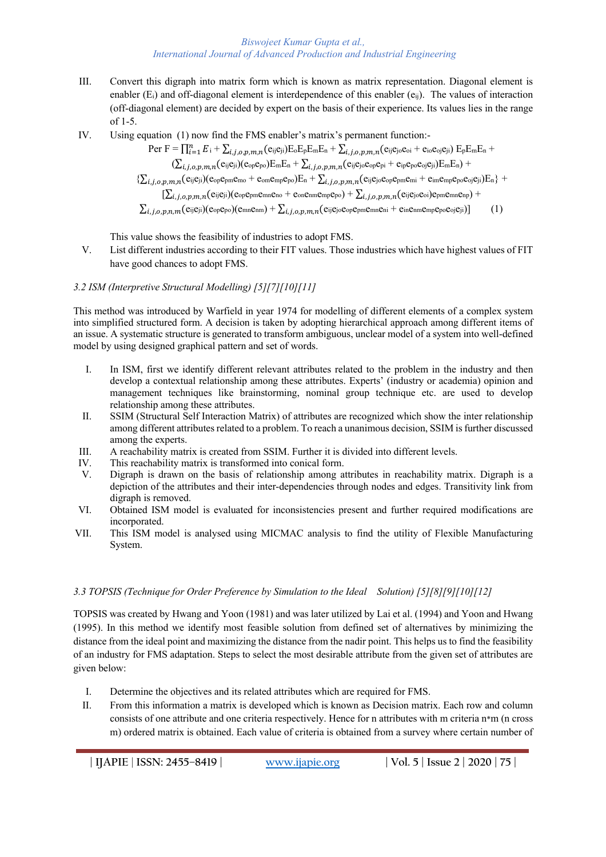#### *Biswojeet Kumar Gupta et al., International Journal of Advanced Production and Industrial Engineering*

- III. Convert this digraph into matrix form which is known as matrix representation. Diagonal element is enabler ( $E_i$ ) and off-diagonal element is interdependence of this enabler ( $e_{ij}$ ). The values of interaction (off-diagonal element) are decided by expert on the basis of their experience. Its values lies in the range of 1-5.
- IV. Using equation (1) now find the FMS enabler's matrix's permanent function:-

$$
\begin{aligned} \operatorname{Per} \, & F = \prod_{i=1}^n E_i + \sum_{i,j,o,p,m,n} (e_{ij}e_{ji}) E_o E_p E_m E_n + \sum_{i,j,o,p,m,n} (e_{ij}e_{jo}e_{oi} + e_{io}e_{oj}e_{ji}) E_p E_m E_n +\\ &\quad \ \ (\sum_{i,j,o,p,m,n} (e_{ij}e_{ji})(e_{op}e_{po}) E_m E_n + \sum_{i,j,o,p,m,n} (e_{ij}e_{jo}e_{op}e_{pi} + e_{ip}e_{po}e_{oj}e_{ji}) E_m E_n) +\\ &\quad \ \{ \sum_{i,j,o,p,m,n} (e_{ij}e_{ji})(e_{op}e_{pm}e_{mo} + e_{om}e_{mp}e_{po}) E_n + \sum_{i,j,o,p,m,n} (e_{ij}e_{jo}e_{op}e_{pm}e_{mi} + e_{im}e_{mp}e_{po}e_{oj}e_{ji}) E_n \} +\\ &\quad \ \ [\sum_{i,j,o,p,m,n} (e_{ij}e_{ji})(e_{op}e_{pm}e_{mm}e_{no} + e_{on}e_{mm}e_{mp}e_{po}) + \sum_{i,j,o,p,m,n} (e_{ij}e_{jo}e_{oj}e_{pm}e_{mn}e_{no}) +\\ &\quad \ \ \sum_{i,j,o,p,n,m} (e_{ij}e_{ji})(e_{op}e_{po})(e_{mn}e_{mn}) + \sum_{i,j,o,p,m,n} (e_{ij}e_{jo}e_{op}e_{pm}e_{mn}e_{ni} + e_{in}e_{mm}e_{mp}e_{po}e_{oj}e_{ji}) ] \end{aligned} \eqno{(1)}
$$

This value shows the feasibility of industries to adopt FMS.

V. List different industries according to their FIT values. Those industries which have highest values of FIT have good chances to adopt FMS.

## *3.2 ISM (Interpretive Structural Modelling) [5][7][10][11]*

This method was introduced by Warfield in year 1974 for modelling of different elements of a complex system into simplified structured form. A decision is taken by adopting hierarchical approach among different items of an issue. A systematic structure is generated to transform ambiguous, unclear model of a system into well-defined model by using designed graphical pattern and set of words.

- I. In ISM, first we identify different relevant attributes related to the problem in the industry and then develop a contextual relationship among these attributes. Experts' (industry or academia) opinion and management techniques like brainstorming, nominal group technique etc. are used to develop relationship among these attributes.
- II. SSIM (Structural Self Interaction Matrix) of attributes are recognized which show the inter relationship among different attributes related to a problem. To reach a unanimous decision, SSIM is further discussed among the experts.
- III. A reachability matrix is created from SSIM. Further it is divided into different levels.
- IV. This reachability matrix is transformed into conical form.<br>V. Digraph is drawn on the basis of relationship among a
- Digraph is drawn on the basis of relationship among attributes in reachability matrix. Digraph is a depiction of the attributes and their inter-dependencies through nodes and edges. Transitivity link from digraph is removed.
- VI. Obtained ISM model is evaluated for inconsistencies present and further required modifications are incorporated.
- VII. This ISM model is analysed using MICMAC analysis to find the utility of Flexible Manufacturing System.

## *3.3 TOPSIS (Technique for Order Preference by Simulation to the Ideal Solution) [5][8][9][10][12]*

TOPSIS was created by Hwang and Yoon (1981) and was later utilized by Lai et al. (1994) and Yoon and Hwang (1995). In this method we identify most feasible solution from defined set of alternatives by minimizing the distance from the ideal point and maximizing the distance from the nadir point. This helps us to find the feasibility of an industry for FMS adaptation. Steps to select the most desirable attribute from the given set of attributes are given below:

- I. Determine the objectives and its related attributes which are required for FMS.
- II. From this information a matrix is developed which is known as Decision matrix. Each row and column consists of one attribute and one criteria respectively. Hence for n attributes with m criteria n\*m (n cross m) ordered matrix is obtained. Each value of criteria is obtained from a survey where certain number of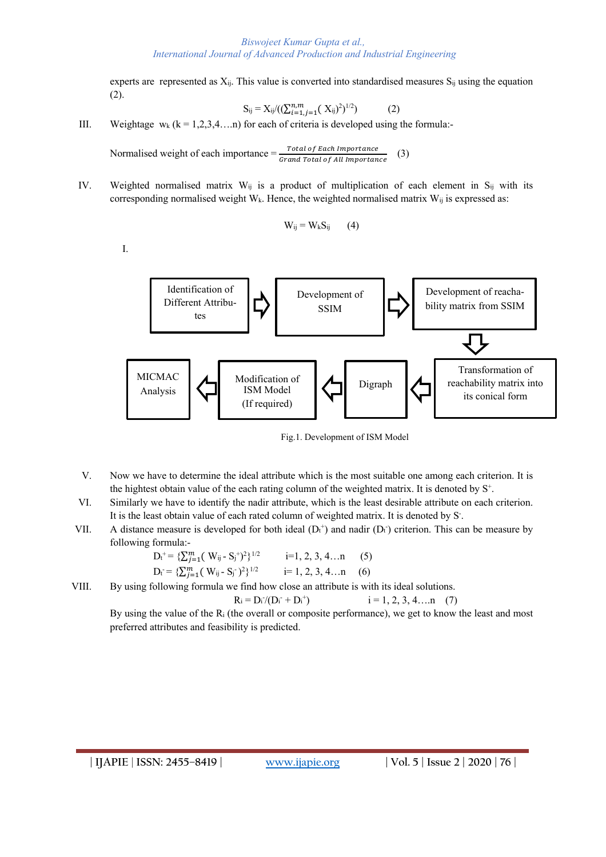experts are represented as X<sub>ij</sub>. This value is converted into standardised measures S<sub>ij</sub> using the equation (2).

$$
S_{ij} = X_{ij}/((\sum_{i=1,j=1}^{n,m} (X_{ij})^2)^{1/2})
$$
 (2)

III. Weightage  $w_k$  ( $k = 1,2,3,4,...n$ ) for each of criteria is developed using the formula:-

Normalised weight of each importance  $=$   $\frac{Total\ of\ Each\ importance}{Grand\ Total\ of\ All\ importance}$  (3)

IV. Weighted normalised matrix W<sub>ij</sub> is a product of multiplication of each element in S<sub>ij</sub> with its corresponding normalised weight  $W_k$ . Hence, the weighted normalised matrix  $W_{ij}$  is expressed as:

$$
W_{ij} = W_k S_{ij} \qquad (4)
$$

I.



Fig.1. Development of ISM Model

- V. Now we have to determine the ideal attribute which is the most suitable one among each criterion. It is the hightest obtain value of the each rating column of the weighted matrix. It is denoted by S+.
- VI. Similarly we have to identify the nadir attribute, which is the least desirable attribute on each criterion. It is the least obtain value of each rated column of weighted matrix. It is denoted by S.
- VII. A distance measure is developed for both ideal  $(D_t^+)$  and nadir  $(D_t^-)$  criterion. This can be measure by following formula:-

$$
D_{t}^{+} = \{ \sum_{j=1}^{m} (W_{ij} - S_{j}^{+})^{2} \}^{1/2} \qquad i=1, 2, 3, 4...n \qquad (5)
$$
  

$$
D_{t}^{-} = \{ \sum_{j=1}^{m} (W_{ij} - S_{j}^{-})^{2} \}^{1/2} \qquad i=1, 2, 3, 4...n \qquad (6)
$$

VIII. By using following formula we find how close an attribute is with its ideal solutions.

$$
R_i = D_i / (D_i + D_i^+) \qquad i = 1, 2, 3, 4, \dots n \quad (7)
$$

By using the value of the Ri (the overall or composite performance), we get to know the least and most preferred attributes and feasibility is predicted.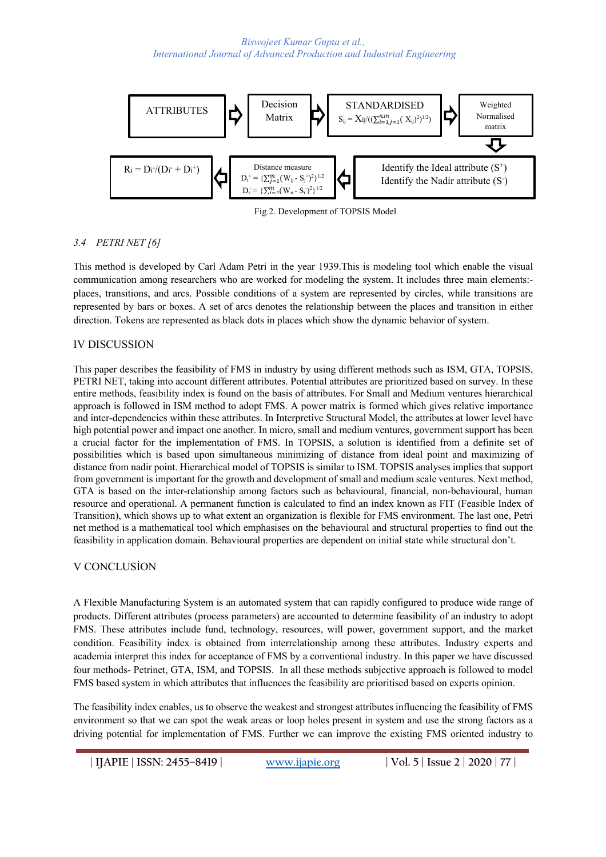

Fig.2. Development of TOPSIS Model

## *3.4 PETRI NET [6]*

This method is developed by Carl Adam Petri in the year 1939.This is modeling tool which enable the visual communication among researchers who are worked for modeling the system. It includes three main elements: places, transitions, and arcs. Possible conditions of a system are represented by circles, while transitions are represented by bars or boxes. A set of arcs denotes the relationship between the places and transition in either direction. Tokens are represented as black dots in places which show the dynamic behavior of system.

## IV DISCUSSION

This paper describes the feasibility of FMS in industry by using different methods such as ISM, GTA, TOPSIS, PETRI NET, taking into account different attributes. Potential attributes are prioritized based on survey. In these entire methods, feasibility index is found on the basis of attributes. For Small and Medium ventures hierarchical approach is followed in ISM method to adopt FMS. A power matrix is formed which gives relative importance and inter-dependencies within these attributes. In Interpretive Structural Model, the attributes at lower level have high potential power and impact one another. In micro, small and medium ventures, government support has been a crucial factor for the implementation of FMS. In TOPSIS, a solution is identified from a definite set of possibilities which is based upon simultaneous minimizing of distance from ideal point and maximizing of distance from nadir point. Hierarchical model of TOPSIS is similar to ISM. TOPSIS analyses implies that support from government is important for the growth and development of small and medium scale ventures. Next method, GTA is based on the inter-relationship among factors such as behavioural, financial, non-behavioural, human resource and operational. A permanent function is calculated to find an index known as FIT (Feasible Index of Transition), which shows up to what extent an organization is flexible for FMS environment. The last one, Petri net method is a mathematical tool which emphasises on the behavioural and structural properties to find out the feasibility in application domain. Behavioural properties are dependent on initial state while structural don't.

## V CONCLUSİON

A Flexible Manufacturing System is an automated system that can rapidly configured to produce wide range of products. Different attributes (process parameters) are accounted to determine feasibility of an industry to adopt FMS. These attributes include fund, technology, resources, will power, government support, and the market condition. Feasibility index is obtained from interrelationship among these attributes. Industry experts and academia interpret this index for acceptance of FMS by a conventional industry. In this paper we have discussed four methods- Petrinet, GTA, ISM, and TOPSIS. In all these methods subjective approach is followed to model FMS based system in which attributes that influences the feasibility are prioritised based on experts opinion.

The feasibility index enables, us to observe the weakest and strongest attributes influencing the feasibility of FMS environment so that we can spot the weak areas or loop holes present in system and use the strong factors as a driving potential for implementation of FMS. Further we can improve the existing FMS oriented industry to